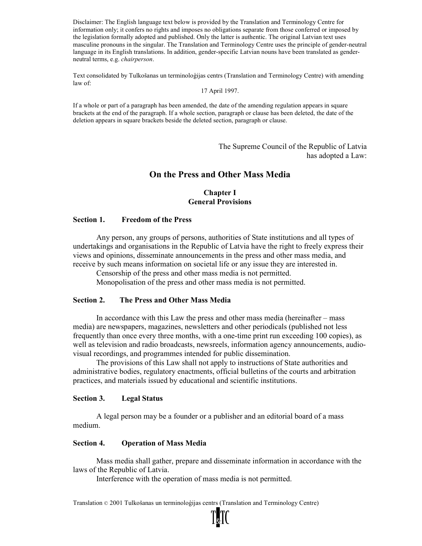Disclaimer: The English language text below is provided by the Translation and Terminology Centre for information only; it confers no rights and imposes no obligations separate from those conferred or imposed by the legislation formally adopted and published. Only the latter is authentic. The original Latvian text uses masculine pronouns in the singular. The Translation and Terminology Centre uses the principle of gender-neutral language in its English translations. In addition, gender-specific Latvian nouns have been translated as genderneutral terms, e.g. chairperson.

Text consolidated by Tulkošanas un terminoloģijas centrs (Translation and Terminology Centre) with amending law of:

17 April 1997.

If a whole or part of a paragraph has been amended, the date of the amending regulation appears in square brackets at the end of the paragraph. If a whole section, paragraph or clause has been deleted, the date of the deletion appears in square brackets beside the deleted section, paragraph or clause.

> The Supreme Council of the Republic of Latvia has adopted a Law:

# On the Press and Other Mass Media

#### Chapter I General Provisions

### Section 1. Freedom of the Press

Any person, any groups of persons, authorities of State institutions and all types of undertakings and organisations in the Republic of Latvia have the right to freely express their views and opinions, disseminate announcements in the press and other mass media, and receive by such means information on societal life or any issue they are interested in.

Censorship of the press and other mass media is not permitted.

Monopolisation of the press and other mass media is not permitted.

#### Section 2. The Press and Other Mass Media

In accordance with this Law the press and other mass media (hereinafter – mass media) are newspapers, magazines, newsletters and other periodicals (published not less frequently than once every three months, with a one-time print run exceeding 100 copies), as well as television and radio broadcasts, newsreels, information agency announcements, audiovisual recordings, and programmes intended for public dissemination.

The provisions of this Law shall not apply to instructions of State authorities and administrative bodies, regulatory enactments, official bulletins of the courts and arbitration practices, and materials issued by educational and scientific institutions.

#### Section 3. Legal Status

A legal person may be a founder or a publisher and an editorial board of a mass medium.

### Section 4. Operation of Mass Media

Mass media shall gather, prepare and disseminate information in accordance with the laws of the Republic of Latvia.

Interference with the operation of mass media is not permitted.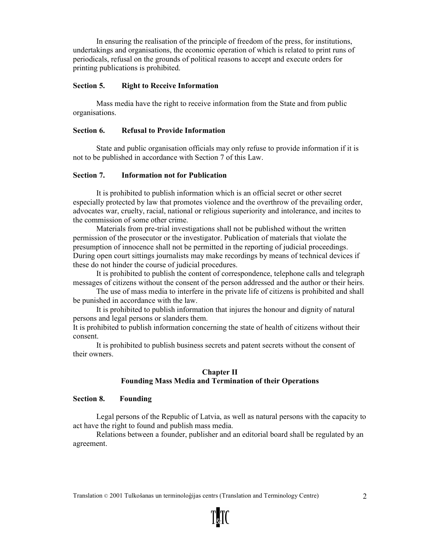In ensuring the realisation of the principle of freedom of the press, for institutions, undertakings and organisations, the economic operation of which is related to print runs of periodicals, refusal on the grounds of political reasons to accept and execute orders for printing publications is prohibited.

## Section 5. Right to Receive Information

Mass media have the right to receive information from the State and from public organisations.

## Section 6. Refusal to Provide Information

State and public organisation officials may only refuse to provide information if it is not to be published in accordance with Section 7 of this Law.

### Section 7. Information not for Publication

It is prohibited to publish information which is an official secret or other secret especially protected by law that promotes violence and the overthrow of the prevailing order, advocates war, cruelty, racial, national or religious superiority and intolerance, and incites to the commission of some other crime.

Materials from pre-trial investigations shall not be published without the written permission of the prosecutor or the investigator. Publication of materials that violate the presumption of innocence shall not be permitted in the reporting of judicial proceedings. During open court sittings journalists may make recordings by means of technical devices if these do not hinder the course of judicial procedures.

It is prohibited to publish the content of correspondence, telephone calls and telegraph messages of citizens without the consent of the person addressed and the author or their heirs.

The use of mass media to interfere in the private life of citizens is prohibited and shall be punished in accordance with the law.

It is prohibited to publish information that injures the honour and dignity of natural persons and legal persons or slanders them.

It is prohibited to publish information concerning the state of health of citizens without their consent.

It is prohibited to publish business secrets and patent secrets without the consent of their owners.

# Chapter II Founding Mass Media and Termination of their Operations

### Section 8. Founding

Legal persons of the Republic of Latvia, as well as natural persons with the capacity to act have the right to found and publish mass media.

Relations between a founder, publisher and an editorial board shall be regulated by an agreement.

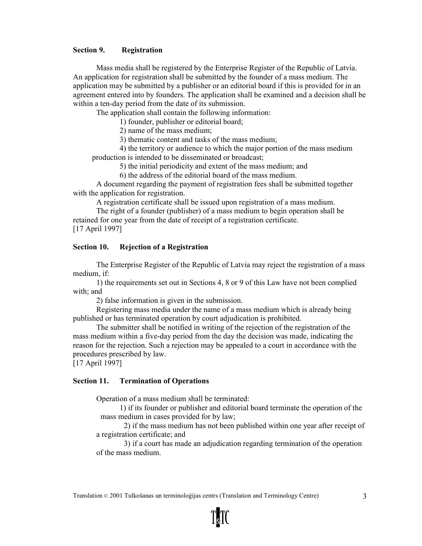### Section 9. Registration

Mass media shall be registered by the Enterprise Register of the Republic of Latvia. An application for registration shall be submitted by the founder of a mass medium. The application may be submitted by a publisher or an editorial board if this is provided for in an agreement entered into by founders. The application shall be examined and a decision shall be within a ten-day period from the date of its submission.

The application shall contain the following information:

1) founder, publisher or editorial board;

2) name of the mass medium;

3) thematic content and tasks of the mass medium;

4) the territory or audience to which the major portion of the mass medium production is intended to be disseminated or broadcast;

5) the initial periodicity and extent of the mass medium; and

6) the address of the editorial board of the mass medium.

A document regarding the payment of registration fees shall be submitted together with the application for registration.

A registration certificate shall be issued upon registration of a mass medium. The right of a founder (publisher) of a mass medium to begin operation shall be

retained for one year from the date of receipt of a registration certificate.

[17 April 1997]

# Section 10. Rejection of a Registration

The Enterprise Register of the Republic of Latvia may reject the registration of a mass medium, if:

1) the requirements set out in Sections 4, 8 or 9 of this Law have not been complied with; and

2) false information is given in the submission.

Registering mass media under the name of a mass medium which is already being published or has terminated operation by court adjudication is prohibited.

The submitter shall be notified in writing of the rejection of the registration of the mass medium within a five-day period from the day the decision was made, indicating the reason for the rejection. Such a rejection may be appealed to a court in accordance with the procedures prescribed by law.

[17 April 1997]

### Section 11. Termination of Operations

Operation of a mass medium shall be terminated:

1) if its founder or publisher and editorial board terminate the operation of the mass medium in cases provided for by law;

2) if the mass medium has not been published within one year after receipt of a registration certificate; and

3) if a court has made an adjudication regarding termination of the operation of the mass medium.

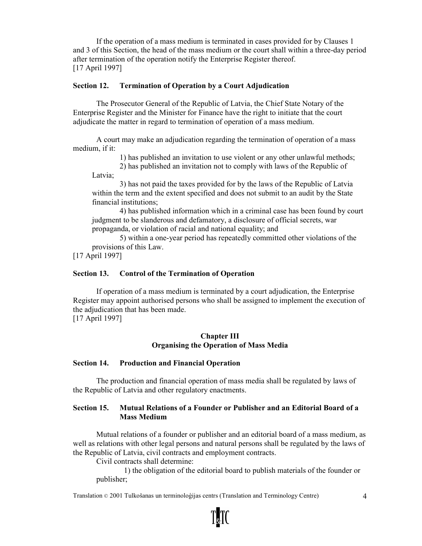If the operation of a mass medium is terminated in cases provided for by Clauses 1 and 3 of this Section, the head of the mass medium or the court shall within a three-day period after termination of the operation notify the Enterprise Register thereof. [17 April 1997]

## Section 12. Termination of Operation by a Court Adjudication

The Prosecutor General of the Republic of Latvia, the Chief State Notary of the Enterprise Register and the Minister for Finance have the right to initiate that the court adjudicate the matter in regard to termination of operation of a mass medium.

A court may make an adjudication regarding the termination of operation of a mass medium, if it:

1) has published an invitation to use violent or any other unlawful methods;

2) has published an invitation not to comply with laws of the Republic of Latvia;

3) has not paid the taxes provided for by the laws of the Republic of Latvia within the term and the extent specified and does not submit to an audit by the State financial institutions;

4) has published information which in a criminal case has been found by court judgment to be slanderous and defamatory, a disclosure of official secrets, war propaganda, or violation of racial and national equality; and

5) within a one-year period has repeatedly committed other violations of the provisions of this Law.

[17 April 1997]

# Section 13. Control of the Termination of Operation

If operation of a mass medium is terminated by a court adjudication, the Enterprise Register may appoint authorised persons who shall be assigned to implement the execution of the adjudication that has been made.

[17 April 1997]

# Chapter III Organising the Operation of Mass Media

# Section 14. Production and Financial Operation

The production and financial operation of mass media shall be regulated by laws of the Republic of Latvia and other regulatory enactments.

# Section 15. Mutual Relations of a Founder or Publisher and an Editorial Board of a Mass Medium

Mutual relations of a founder or publisher and an editorial board of a mass medium, as well as relations with other legal persons and natural persons shall be regulated by the laws of the Republic of Latvia, civil contracts and employment contracts.

Civil contracts shall determine:

1) the obligation of the editorial board to publish materials of the founder or publisher;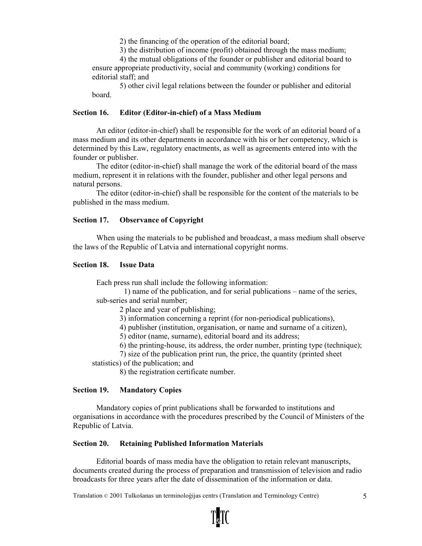2) the financing of the operation of the editorial board;

3) the distribution of income (profit) obtained through the mass medium;

4) the mutual obligations of the founder or publisher and editorial board to ensure appropriate productivity, social and community (working) conditions for editorial staff; and

5) other civil legal relations between the founder or publisher and editorial board.

### Section 16. Editor (Editor-in-chief) of a Mass Medium

An editor (editor-in-chief) shall be responsible for the work of an editorial board of a mass medium and its other departments in accordance with his or her competency, which is determined by this Law, regulatory enactments, as well as agreements entered into with the founder or publisher.

The editor (editor-in-chief) shall manage the work of the editorial board of the mass medium, represent it in relations with the founder, publisher and other legal persons and natural persons.

The editor (editor-in-chief) shall be responsible for the content of the materials to be published in the mass medium.

### Section 17. Observance of Copyright

When using the materials to be published and broadcast, a mass medium shall observe the laws of the Republic of Latvia and international copyright norms.

#### Section 18. Issue Data

Each press run shall include the following information:

1) name of the publication, and for serial publications – name of the series, sub-series and serial number;

- 2 place and year of publishing;
- 3) information concerning a reprint (for non-periodical publications),
- 4) publisher (institution, organisation, or name and surname of a citizen),
- 5) editor (name, surname), editorial board and its address;
- 6) the printing-house, its address, the order number, printing type (technique);
- 7) size of the publication print run, the price, the quantity (printed sheet

statistics) of the publication; and

8) the registration certificate number.

### Section 19. Mandatory Copies

Mandatory copies of print publications shall be forwarded to institutions and organisations in accordance with the procedures prescribed by the Council of Ministers of the Republic of Latvia.

### Section 20. Retaining Published Information Materials

Editorial boards of mass media have the obligation to retain relevant manuscripts, documents created during the process of preparation and transmission of television and radio broadcasts for three years after the date of dissemination of the information or data.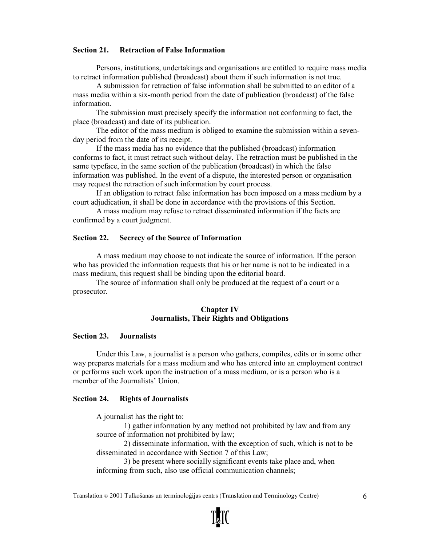### Section 21. Retraction of False Information

Persons, institutions, undertakings and organisations are entitled to require mass media to retract information published (broadcast) about them if such information is not true.

A submission for retraction of false information shall be submitted to an editor of a mass media within a six-month period from the date of publication (broadcast) of the false information.

The submission must precisely specify the information not conforming to fact, the place (broadcast) and date of its publication.

The editor of the mass medium is obliged to examine the submission within a sevenday period from the date of its receipt.

If the mass media has no evidence that the published (broadcast) information conforms to fact, it must retract such without delay. The retraction must be published in the same typeface, in the same section of the publication (broadcast) in which the false information was published. In the event of a dispute, the interested person or organisation may request the retraction of such information by court process.

If an obligation to retract false information has been imposed on a mass medium by a court adjudication, it shall be done in accordance with the provisions of this Section.

A mass medium may refuse to retract disseminated information if the facts are confirmed by a court judgment.

#### Section 22. Secrecy of the Source of Information

A mass medium may choose to not indicate the source of information. If the person who has provided the information requests that his or her name is not to be indicated in a mass medium, this request shall be binding upon the editorial board.

The source of information shall only be produced at the request of a court or a prosecutor.

### Chapter IV Journalists, Their Rights and Obligations

#### Section 23. Journalists

Under this Law, a journalist is a person who gathers, compiles, edits or in some other way prepares materials for a mass medium and who has entered into an employment contract or performs such work upon the instruction of a mass medium, or is a person who is a member of the Journalists' Union.

#### Section 24. Rights of Journalists

A journalist has the right to:

1) gather information by any method not prohibited by law and from any source of information not prohibited by law;

2) disseminate information, with the exception of such, which is not to be disseminated in accordance with Section 7 of this Law;

3) be present where socially significant events take place and, when informing from such, also use official communication channels;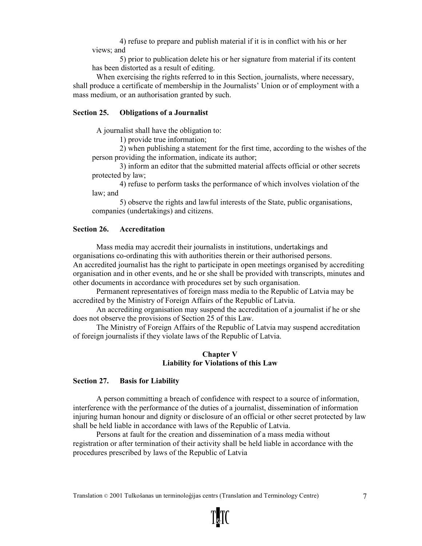4) refuse to prepare and publish material if it is in conflict with his or her views; and

5) prior to publication delete his or her signature from material if its content has been distorted as a result of editing.

When exercising the rights referred to in this Section, journalists, where necessary, shall produce a certificate of membership in the Journalists' Union or of employment with a mass medium, or an authorisation granted by such.

# Section 25. Obligations of a Journalist

A journalist shall have the obligation to:

1) provide true information;

2) when publishing a statement for the first time, according to the wishes of the person providing the information, indicate its author;

3) inform an editor that the submitted material affects official or other secrets protected by law;

4) refuse to perform tasks the performance of which involves violation of the law; and

5) observe the rights and lawful interests of the State, public organisations, companies (undertakings) and citizens.

## Section 26. Accreditation

Mass media may accredit their journalists in institutions, undertakings and organisations co-ordinating this with authorities therein or their authorised persons. An accredited journalist has the right to participate in open meetings organised by accrediting organisation and in other events, and he or she shall be provided with transcripts, minutes and other documents in accordance with procedures set by such organisation.

Permanent representatives of foreign mass media to the Republic of Latvia may be accredited by the Ministry of Foreign Affairs of the Republic of Latvia.

An accrediting organisation may suspend the accreditation of a journalist if he or she does not observe the provisions of Section 25 of this Law.

The Ministry of Foreign Affairs of the Republic of Latvia may suspend accreditation of foreign journalists if they violate laws of the Republic of Latvia.

### Chapter V Liability for Violations of this Law

# Section 27. Basis for Liability

A person committing a breach of confidence with respect to a source of information, interference with the performance of the duties of a journalist, dissemination of information injuring human honour and dignity or disclosure of an official or other secret protected by law shall be held liable in accordance with laws of the Republic of Latvia.

Persons at fault for the creation and dissemination of a mass media without registration or after termination of their activity shall be held liable in accordance with the procedures prescribed by laws of the Republic of Latvia